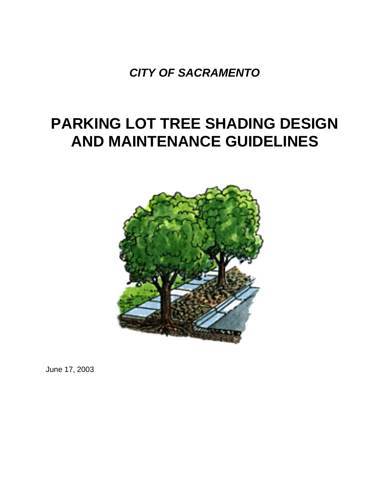*CITY OF SACRAMENTO*

# **PARKING LOT TREE SHADING DESIGN AND MAINTENANCE GUIDELINES**



June 17, 2003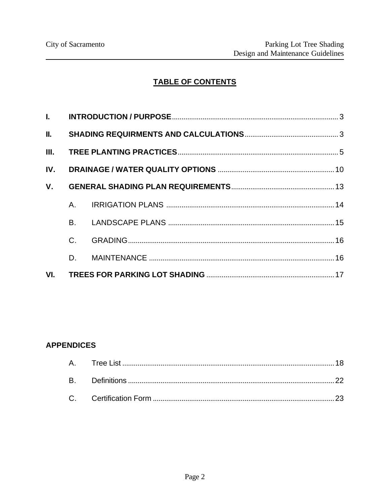# TABLE OF CONTENTS

| IV.         |           |  |  |  |  |  |  |
|-------------|-----------|--|--|--|--|--|--|
| $V_{\cdot}$ |           |  |  |  |  |  |  |
|             |           |  |  |  |  |  |  |
|             | <b>B.</b> |  |  |  |  |  |  |
|             | $C$ .     |  |  |  |  |  |  |
|             | D.        |  |  |  |  |  |  |
|             |           |  |  |  |  |  |  |

# **APPENDICES**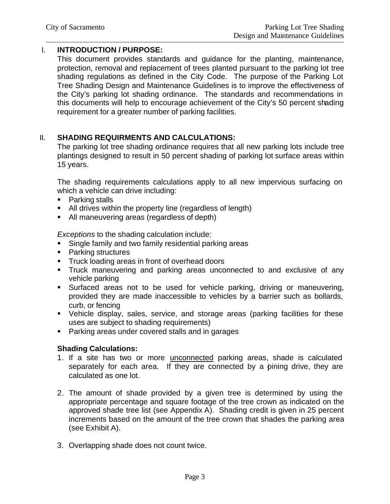# I. **INTRODUCTION / PURPOSE:**

This document provides standards and guidance for the planting, maintenance, protection, removal and replacement of trees planted pursuant to the parking lot tree shading regulations as defined in the City Code. The purpose of the Parking Lot Tree Shading Design and Maintenance Guidelines is to improve the effectiveness of the City's parking lot shading ordinance. The standards and recommendations in this documents will help to encourage achievement of the City's 50 percent shading requirement for a greater number of parking facilities.

# II. **SHADING REQUIRMENTS AND CALCULATIONS:**

The parking lot tree shading ordinance requires that all new parking lots include tree plantings designed to result in 50 percent shading of parking lot surface areas within 15 years.

The shading requirements calculations apply to all new impervious surfacing on which a vehicle can drive including:

- Parking stalls
- **All drives within the property line (regardless of length)**
- All maneuvering areas (regardless of depth)

*Exceptions* to the shading calculation include:

- **Single family and two family residential parking areas**
- Parking structures
- **Truck loading areas in front of overhead doors**
- Truck maneuvering and parking areas unconnected to and exclusive of any vehicle parking
- **Surfaced areas not to be used for vehicle parking, driving or maneuvering,** provided they are made inaccessible to vehicles by a barrier such as bollards, curb, or fencing
- Vehicle display, sales, service, and storage areas (parking facilities for these uses are subject to shading requirements)
- **Parking areas under covered stalls and in garages**

# **Shading Calculations:**

- 1. If a site has two or more unconnected parking areas, shade is calculated separately for each area. If they are connected by a pining drive, they are calculated as one lot.
- 2. The amount of shade provided by a given tree is determined by using the appropriate percentage and square footage of the tree crown as indicated on the approved shade tree list (see Appendix A). Shading credit is given in 25 percent increments based on the amount of the tree crown that shades the parking area (see Exhibit A).
- 3. Overlapping shade does not count twice.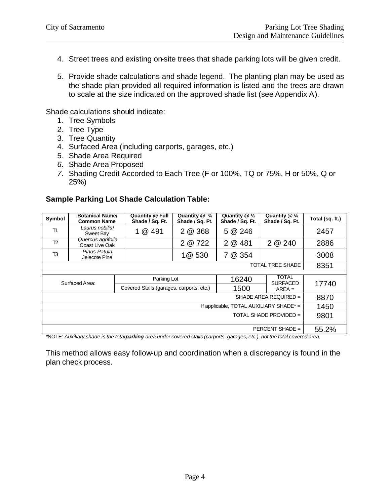- 4. Street trees and existing on-site trees that shade parking lots will be given credit.
- 5. Provide shade calculations and shade legend. The planting plan may be used as the shade plan provided all required information is listed and the trees are drawn to scale at the size indicated on the approved shade list (see Appendix A).

Shade calculations should indicate:

- 1. Tree Symbols
- 2. Tree Type
- 3. Tree Quantity
- 4. Surfaced Area (including carports, garages, etc.)
- 5. Shade Area Required
- *6.* Shade Area Proposed
- *7.* Shading Credit Accorded to Each Tree (F or 100%, TQ or 75%, H or 50%, Q or 25%)

#### **Sample Parking Lot Shade Calculation Table:**

| Symbol                                                                                                                                                                 | <b>Botanical Name/</b><br><b>Common Name</b> | <b>Quantity @ Full</b><br>Shade / Sq. Ft. | Quantity $@$ $\frac{3}{4}$<br>Shade / Sq. Ft. | Quantity $@ \frac{1}{2}$<br>Shade / Sq. Ft. | Quantity $@ \frac{1}{4}$<br>Shade / Sq. Ft. | Total (sq. ft.) |
|------------------------------------------------------------------------------------------------------------------------------------------------------------------------|----------------------------------------------|-------------------------------------------|-----------------------------------------------|---------------------------------------------|---------------------------------------------|-----------------|
| T1                                                                                                                                                                     | Laurus nobilis/<br>Sweet Bay                 | 1 @ 491                                   | 2 @ 368                                       | 5 @ 246                                     |                                             | 2457            |
| T <sub>2</sub>                                                                                                                                                         | Quercus agrifolia<br>Coast Live Oak          |                                           | 2 @ 722                                       | 2 @ 481                                     | 2 @ 240                                     | 2886            |
| T3                                                                                                                                                                     | Pinus Patula<br>Jelecote Pine                |                                           | 1@ 530                                        | 7 @ 354                                     |                                             | 3008            |
| <b>TOTAL TREE SHADE</b>                                                                                                                                                |                                              |                                           |                                               |                                             |                                             |                 |
|                                                                                                                                                                        |                                              |                                           |                                               |                                             |                                             |                 |
| Surfaced Area:                                                                                                                                                         |                                              | Parking Lot                               |                                               | 16240                                       | TOTAL<br><b>SURFACED</b>                    | 17740           |
|                                                                                                                                                                        |                                              | Covered Stalls (garages, carports, etc.)  |                                               | 1500                                        | $AREA =$                                    |                 |
| SHADE AREA REQUIRED =                                                                                                                                                  |                                              |                                           |                                               |                                             |                                             | 8870            |
| If applicable, TOTAL AUXILIARY SHADE* =                                                                                                                                |                                              |                                           |                                               |                                             |                                             | 1450            |
| TOTAL SHADE PROVIDED =                                                                                                                                                 |                                              |                                           |                                               |                                             |                                             | 9801            |
|                                                                                                                                                                        |                                              |                                           |                                               |                                             |                                             |                 |
| PERCENT SHADE $=$<br>$*$ ) OTE . Another selected to the test department one constance of steller (semi-steller selected)<br>$-1$ $-1$ and the test-test consequent of |                                              |                                           |                                               |                                             |                                             |                 |

\*NOTE: *Auxiliary shade is the total parking area under covered stalls (carports, garages, etc.), not the total covered area.*

This method allows easy follow-up and coordination when a discrepancy is found in the plan check process.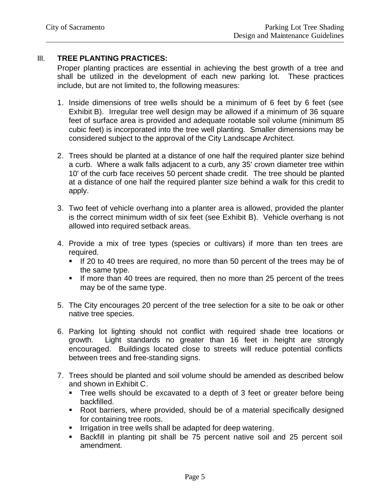## III. **TREE PLANTING PRACTICES:**

Proper planting practices are essential in achieving the best growth of a tree and shall be utilized in the development of each new parking lot. These practices include, but are not limited to, the following measures:

- 1. Inside dimensions of tree wells should be a minimum of 6 feet by 6 feet (see Exhibit B). Irregular tree well design may be allowed if a minimum of 36 square feet of surface area is provided and adequate rootable soil volume (minimum 85 cubic feet) is incorporated into the tree well planting. Smaller dimensions may be considered subject to the approval of the City Landscape Architect.
- 2. Trees should be planted at a distance of one half the required planter size behind a curb. Where a walk falls adjacent to a curb, any 35' crown diameter tree within 10' of the curb face receives 50 percent shade credit. The tree should be planted at a distance of one half the required planter size behind a walk for this credit to apply.
- 3. Two feet of vehicle overhang into a planter area is allowed, provided the planter is the correct minimum width of six feet (see Exhibit B). Vehicle overhang is not allowed into required setback areas.
- 4. Provide a mix of tree types (species or cultivars) if more than ten trees are required.
	- If 20 to 40 trees are required, no more than 50 percent of the trees may be of the same type.
	- **If more than 40 trees are required, then no more than 25 percent of the trees** may be of the same type.
- 5. The City encourages 20 percent of the tree selection for a site to be oak or other native tree species.
- 6. Parking lot lighting should not conflict with required shade tree locations or growth. Light standards no greater than 16 feet in height are strongly encouraged. Buildings located close to streets will reduce potential conflicts between trees and free-standing signs.
- 7. Trees should be planted and soil volume should be amended as described below and shown in Exhibit C.
	- Tree wells should be excavated to a depth of 3 feet or greater before being backfilled.
	- Root barriers, where provided, should be of a material specifically designed for containing tree roots.
	- **IFF** Irrigation in tree wells shall be adapted for deep watering.
	- **Backfill in planting pit shall be 75 percent native soil and 25 percent soil** amendment.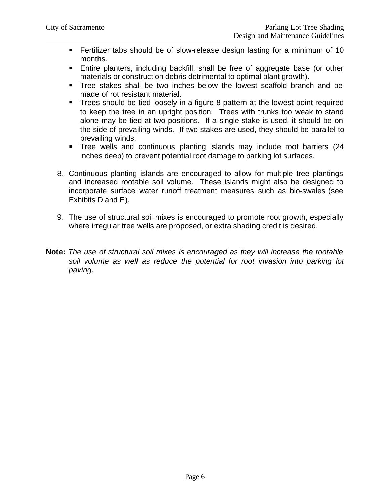- **Fertilizer tabs should be of slow-release design lasting for a minimum of 10** months.
- **Entire planters, including backfill, shall be free of aggregate base (or other** materials or construction debris detrimental to optimal plant growth).
- Tree stakes shall be two inches below the lowest scaffold branch and be made of rot resistant material.
- **Trees should be tied loosely in a figure-8 pattern at the lowest point required** to keep the tree in an upright position. Trees with trunks too weak to stand alone may be tied at two positions. If a single stake is used, it should be on the side of prevailing winds. If two stakes are used, they should be parallel to prevailing winds.
- Tree wells and continuous planting islands may include root barriers (24 inches deep) to prevent potential root damage to parking lot surfaces.
- 8. Continuous planting islands are encouraged to allow for multiple tree plantings and increased rootable soil volume. These islands might also be designed to incorporate surface water runoff treatment measures such as bio-swales (see Exhibits D and E).
- 9. The use of structural soil mixes is encouraged to promote root growth, especially where irregular tree wells are proposed, or extra shading credit is desired.
- **Note:** *The use of structural soil mixes is encouraged as they will increase the rootable soil volume as well as reduce the potential for root invasion into parking lot paving*.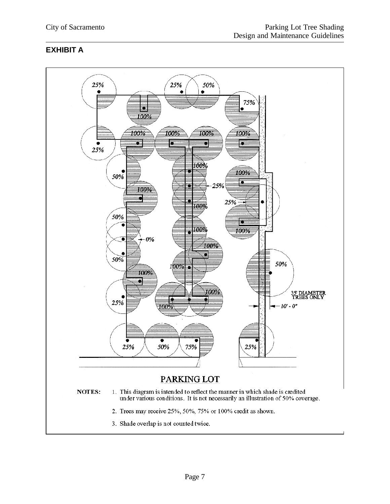# **EXHIBIT A**

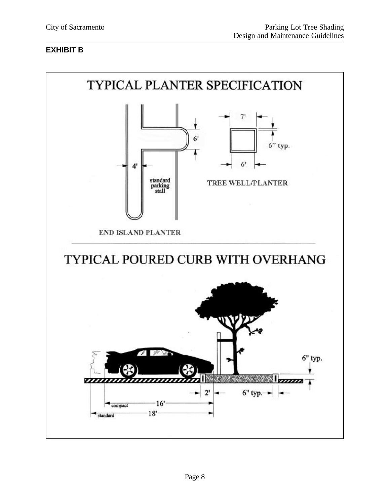## **EXHIBIT B**

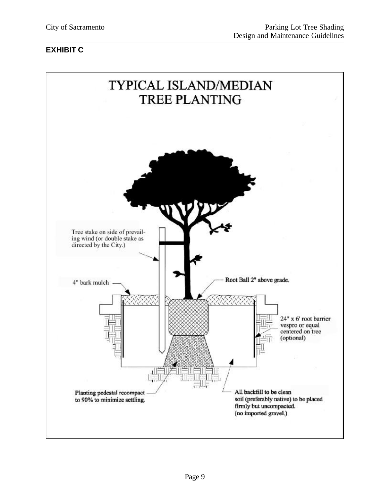# **EXHIBIT C**

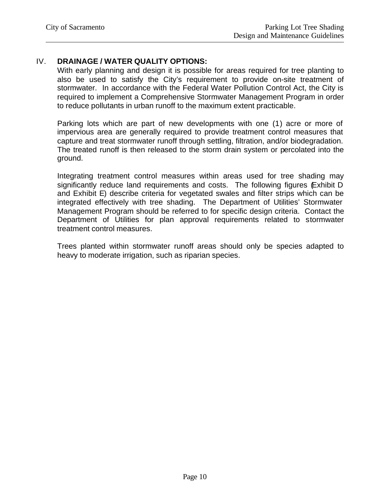# IV. **DRAINAGE / WATER QUALITY OPTIONS:**

With early planning and design it is possible for areas required for tree planting to also be used to satisfy the City's requirement to provide on-site treatment of stormwater. In accordance with the Federal Water Pollution Control Act, the City is required to implement a Comprehensive Stormwater Management Program in order to reduce pollutants in urban runoff to the maximum extent practicable.

Parking lots which are part of new developments with one (1) acre or more of impervious area are generally required to provide treatment control measures that capture and treat stormwater runoff through settling, filtration, and/or biodegradation. The treated runoff is then released to the storm drain system or percolated into the ground.

Integrating treatment control measures within areas used for tree shading may significantly reduce land requirements and costs. The following figures (Exhibit D and Exhibit E) describe criteria for vegetated swales and filter strips which can be integrated effectively with tree shading. The Department of Utilities' Stormwater Management Program should be referred to for specific design criteria. Contact the Department of Utilities for plan approval requirements related to stormwater treatment control measures.

Trees planted within stormwater runoff areas should only be species adapted to heavy to moderate irrigation, such as riparian species.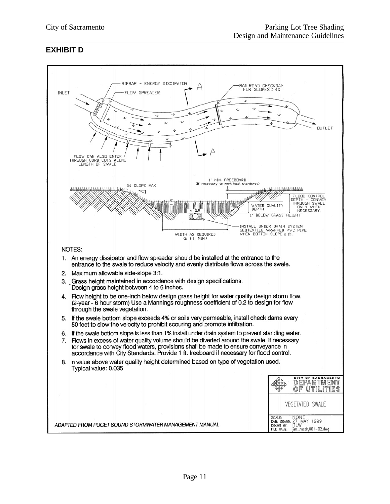#### **EXHIBIT D**

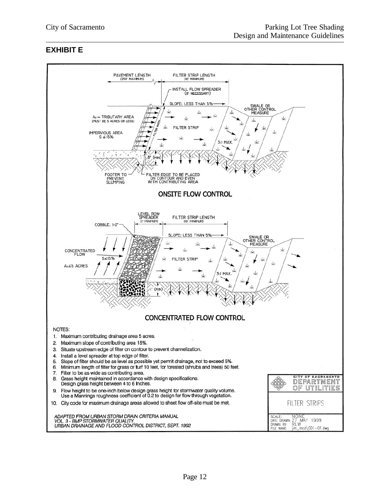## **EXHIBIT E**

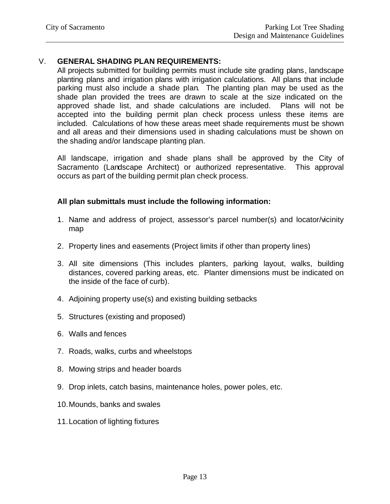## V. **GENERAL SHADING PLAN REQUIREMENTS:**

All projects submitted for building permits must include site grading plans, landscape planting plans and irrigation plans with irrigation calculations. All plans that include parking must also include a shade plan. The planting plan may be used as the shade plan provided the trees are drawn to scale at the size indicated on the approved shade list, and shade calculations are included. Plans will not be accepted into the building permit plan check process unless these items are included. Calculations of how these areas meet shade requirements must be shown and all areas and their dimensions used in shading calculations must be shown on the shading and/or landscape planting plan.

All landscape, irrigation and shade plans shall be approved by the City of Sacramento (Landscape Architect) or authorized representative. This approval occurs as part of the building permit plan check process.

#### **All plan submittals must include the following information:**

- 1. Name and address of project, assessor's parcel number(s) and locator/vicinity map
- 2. Property lines and easements (Project limits if other than property lines)
- 3. All site dimensions (This includes planters, parking layout, walks, building distances, covered parking areas, etc. Planter dimensions must be indicated on the inside of the face of curb).
- 4. Adjoining property use(s) and existing building setbacks
- 5. Structures (existing and proposed)
- 6. Walls and fences
- 7. Roads, walks, curbs and wheelstops
- 8. Mowing strips and header boards
- 9. Drop inlets, catch basins, maintenance holes, power poles, etc.
- 10.Mounds, banks and swales
- 11.Location of lighting fixtures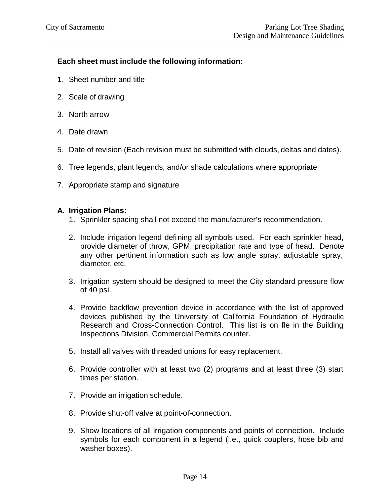# **Each sheet must include the following information:**

- 1. Sheet number and title
- 2. Scale of drawing
- 3. North arrow
- 4. Date drawn
- 5. Date of revision (Each revision must be submitted with clouds, deltas and dates).
- 6. Tree legends, plant legends, and/or shade calculations where appropriate
- 7. Appropriate stamp and signature

#### **A. Irrigation Plans:**

- 1. Sprinkler spacing shall not exceed the manufacturer's recommendation.
- 2. Include irrigation legend defining all symbols used. For each sprinkler head, provide diameter of throw, GPM, precipitation rate and type of head. Denote any other pertinent information such as low angle spray, adjustable spray, diameter, etc.
- 3. Irrigation system should be designed to meet the City standard pressure flow of 40 psi.
- 4. Provide backflow prevention device in accordance with the list of approved devices published by the University of California Foundation of Hydraulic Research and Cross-Connection Control. This list is on file in the Building Inspections Division, Commercial Permits counter.
- 5. Install all valves with threaded unions for easy replacement.
- 6. Provide controller with at least two (2) programs and at least three (3) start times per station.
- 7. Provide an irrigation schedule.
- 8. Provide shut-off valve at point-of-connection.
- 9. Show locations of all irrigation components and points of connection. Include symbols for each component in a legend (i.e., quick couplers, hose bib and washer boxes).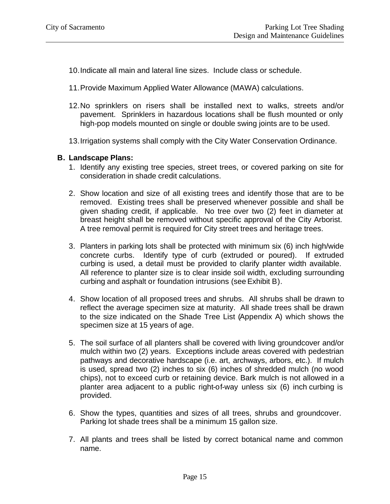- 10.Indicate all main and lateral line sizes. Include class or schedule.
- 11.Provide Maximum Applied Water Allowance (MAWA) calculations.
- 12.No sprinklers on risers shall be installed next to walks, streets and/or pavement. Sprinklers in hazardous locations shall be flush mounted or only high-pop models mounted on single or double swing joints are to be used.
- 13.Irrigation systems shall comply with the City Water Conservation Ordinance.

#### **B. Landscape Plans:**

- 1. Identify any existing tree species, street trees, or covered parking on site for consideration in shade credit calculations.
- 2. Show location and size of all existing trees and identify those that are to be removed. Existing trees shall be preserved whenever possible and shall be given shading credit, if applicable. No tree over two (2) feet in diameter at breast height shall be removed without specific approval of the City Arborist. A tree removal permit is required for City street trees and heritage trees.
- 3. Planters in parking lots shall be protected with minimum six (6) inch high/wide concrete curbs. Identify type of curb (extruded or poured). If extruded curbing is used, a detail must be provided to clarify planter width available. All reference to planter size is to clear inside soil width, excluding surrounding curbing and asphalt or foundation intrusions (see Exhibit B).
- 4. Show location of all proposed trees and shrubs. All shrubs shall be drawn to reflect the average specimen size at maturity. All shade trees shall be drawn to the size indicated on the Shade Tree List (Appendix A) which shows the specimen size at 15 years of age.
- 5. The soil surface of all planters shall be covered with living groundcover and/or mulch within two (2) years. Exceptions include areas covered with pedestrian pathways and decorative hardscape (i.e. art, archways, arbors, etc.). If mulch is used, spread two (2) inches to six (6) inches of shredded mulch (no wood chips), not to exceed curb or retaining device. Bark mulch is not allowed in a planter area adjacent to a public right-of-way unless six (6) inch curbing is provided.
- 6. Show the types, quantities and sizes of all trees, shrubs and groundcover. Parking lot shade trees shall be a minimum 15 gallon size.
- 7. All plants and trees shall be listed by correct botanical name and common name.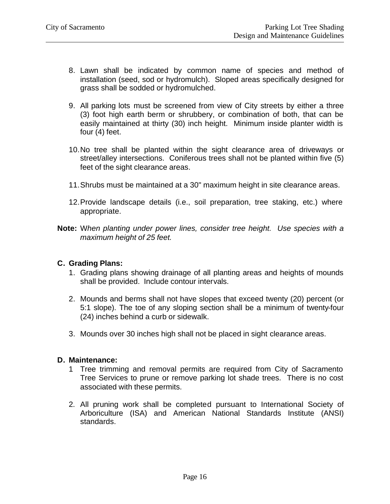- 8. Lawn shall be indicated by common name of species and method of installation (seed, sod or hydromulch). Sloped areas specifically designed for grass shall be sodded or hydromulched.
- 9. All parking lots must be screened from view of City streets by either a three (3) foot high earth berm or shrubbery, or combination of both, that can be easily maintained at thirty (30) inch height. Minimum inside planter width is four (4) feet.
- 10.No tree shall be planted within the sight clearance area of driveways or street/alley intersections. Coniferous trees shall not be planted within five (5) feet of the sight clearance areas.
- 11.Shrubs must be maintained at a 30" maximum height in site clearance areas.
- 12.Provide landscape details (i.e., soil preparation, tree staking, etc.) where appropriate.
- **Note:** W*hen planting under power lines, consider tree height. Use species with a maximum height of 25 feet.*

#### **C. Grading Plans:**

- 1. Grading plans showing drainage of all planting areas and heights of mounds shall be provided. Include contour intervals.
- 2. Mounds and berms shall not have slopes that exceed twenty (20) percent (or 5:1 slope). The toe of any sloping section shall be a minimum of twenty-four (24) inches behind a curb or sidewalk.
- 3. Mounds over 30 inches high shall not be placed in sight clearance areas.

#### **D. Maintenance:**

- 1 Tree trimming and removal permits are required from City of Sacramento Tree Services to prune or remove parking lot shade trees. There is no cost associated with these permits.
- 2. All pruning work shall be completed pursuant to International Society of Arboriculture (ISA) and American National Standards Institute (ANSI) standards.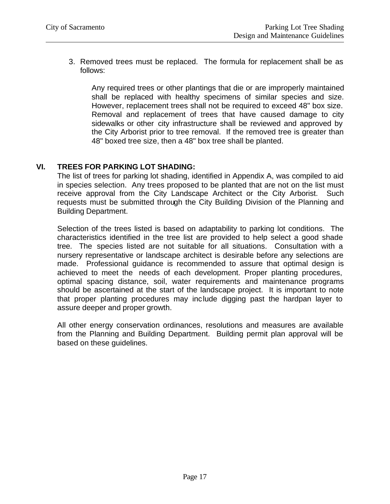3. Removed trees must be replaced. The formula for replacement shall be as follows:

Any required trees or other plantings that die or are improperly maintained shall be replaced with healthy specimens of similar species and size. However, replacement trees shall not be required to exceed 48" box size. Removal and replacement of trees that have caused damage to city sidewalks or other city infrastructure shall be reviewed and approved by the City Arborist prior to tree removal. If the removed tree is greater than 48" boxed tree size, then a 48" box tree shall be planted.

#### **VI. TREES FOR PARKING LOT SHADING:**

The list of trees for parking lot shading, identified in Appendix A, was compiled to aid in species selection. Any trees proposed to be planted that are not on the list must receive approval from the City Landscape Architect or the City Arborist. Such requests must be submitted through the City Building Division of the Planning and Building Department.

Selection of the trees listed is based on adaptability to parking lot conditions. The characteristics identified in the tree list are provided to help select a good shade tree. The species listed are not suitable for all situations. Consultation with a nursery representative or landscape architect is desirable before any selections are made. Professional guidance is recommended to assure that optimal design is achieved to meet the needs of each development. Proper planting procedures, optimal spacing distance, soil, water requirements and maintenance programs should be ascertained at the start of the landscape project. It is important to note that proper planting procedures may include digging past the hardpan layer to assure deeper and proper growth.

All other energy conservation ordinances, resolutions and measures are available from the Planning and Building Department. Building permit plan approval will be based on these guidelines.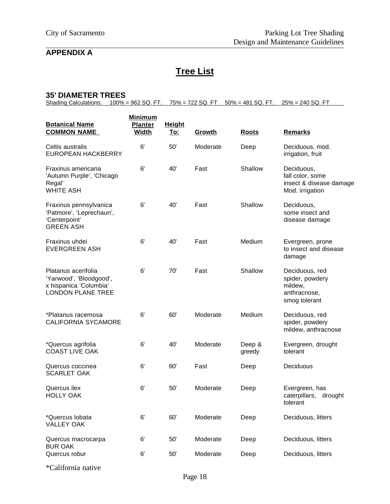# **APPENDIX A**

# **Tree List**

#### **35' DIAMETER TREES**

Shading Calculations:  $100\% = 962$  SQ. FT.  $75\% = 722$  SQ. FT  $50\% = 481$  SQ. FT.  $25\% = 240$  SQ. FT

| <b>Botanical Name</b><br><b>COMMON NAME</b>                                                          | <b>Minimum</b><br><b>Planter</b><br><b>Width</b> | <b>Height</b><br><u>To:</u> | Growth   | <b>Roots</b>     | <b>Remarks</b>                                                                |
|------------------------------------------------------------------------------------------------------|--------------------------------------------------|-----------------------------|----------|------------------|-------------------------------------------------------------------------------|
| Celtis australis<br><b>EUROPEAN HACKBERRY</b>                                                        | 6'                                               | 50'                         | Moderate | Deep             | Deciduous, mod.<br>irrigation, fruit                                          |
| Fraxinus americana<br>'Autumn Purple', 'Chicago<br>Regal'<br><b>WHITE ASH</b>                        | 6'                                               | 40'                         | Fast     | Shallow          | Deciduous,<br>fall color, some<br>insect & disease damage<br>Mod. irrigation  |
| Fraxinus pennsylvanica<br>'Patmore', 'Leprechaun',<br>'Centerpoint'<br><b>GREEN ASH</b>              | 6'                                               | 40'                         | Fast     | Shallow          | Deciduous,<br>some insect and<br>disease damage                               |
| Fraxinus uhdei<br><b>EVERGREEN ASH</b>                                                               | 6'                                               | 40'                         | Fast     | Medium           | Evergreen, prone<br>to insect and disease<br>damage                           |
| Platanus acerifolia<br>'Yarwood', 'Bloodgood',<br>x hispanica 'Columbia'<br><b>LONDON PLANE TREE</b> | 6'                                               | 70'                         | Fast     | Shallow          | Deciduous, red<br>spider, powdery<br>mildew,<br>anthracnose,<br>smog tolerant |
| *Platanus racemosa<br><b>CALIFORNIA SYCAMORE</b>                                                     | 6'                                               | 60'                         | Moderate | Medium           | Deciduous, red<br>spider, powdery<br>mildew, anthracnose                      |
| *Quercus agrifolia<br><b>COAST LIVE OAK</b>                                                          | 6'                                               | 40'                         | Moderate | Deep &<br>greedy | Evergreen, drought<br>tolerant                                                |
| Quercus coccinea<br><b>SCARLET OAK</b>                                                               | 6'                                               | 60'                         | Fast     | Deep             | Deciduous                                                                     |
| Quercus ilex<br><b>HOLLY OAK</b>                                                                     | 6'                                               | 50'                         | Moderate | Deep             | Evergreen, has<br>caterpillars, drought<br>tolerant                           |
| *Quercus lobata<br><b>VALLEY OAK</b>                                                                 | 6'                                               | 60'                         | Moderate | Deep             | Deciduous, litters                                                            |
| Quercus macrocarpa<br><b>BUR OAK</b>                                                                 | 6'                                               | 50'                         | Moderate | Deep             | Deciduous, litters                                                            |
| Quercus robur                                                                                        | $6^{\prime}$                                     | 50'                         | Moderate | Deep             | Deciduous, litters                                                            |

\*California native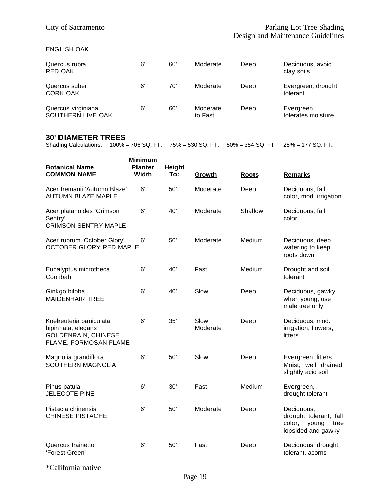#### ENGLISH OAK

| Quercus rubra<br>RED OAK                | 6' | 60' | Moderate            | Deep | Deciduous, avoid<br>clay soils   |
|-----------------------------------------|----|-----|---------------------|------|----------------------------------|
| Quercus suber<br><b>CORK OAK</b>        | 6' | 70' | Moderate            | Deep | Evergreen, drought<br>tolerant   |
| Quercus virginiana<br>SOUTHERN LIVE OAK | 6' | 60  | Moderate<br>to Fast | Deep | Evergreen,<br>tolerates moisture |

# **30' DIAMETER TREES**

Shading Calculations: 100% = 706 SQ. FT. 75% = 530 SQ. FT. 50% = 354 SQ. FT. 25% = 177 SQ. FT.

| <b>Botanical Name</b><br><b>COMMON NAME</b>                                                           | <b>Minimum</b><br><b>Planter</b><br>Width | <b>Height</b><br>To: | Growth           | <b>Roots</b> | <b>Remarks</b>                                                                        |
|-------------------------------------------------------------------------------------------------------|-------------------------------------------|----------------------|------------------|--------------|---------------------------------------------------------------------------------------|
| Acer fremanii 'Autumn Blaze'<br><b>AUTUMN BLAZE MAPLE</b>                                             | 6'                                        | 50'                  | Moderate         | Deep         | Deciduous, fall<br>color, mod. irrigation                                             |
| Acer platanoides 'Crimson<br>Sentry'<br><b>CRIMSON SENTRY MAPLE</b>                                   | 6'                                        | 40'                  | Moderate         | Shallow      | Deciduous, fall<br>color                                                              |
| Acer rubrum 'October Glory'<br>OCTOBER GLORY RED MAPLE                                                | 6'                                        | 50'                  | Moderate         | Medium       | Deciduous, deep<br>watering to keep<br>roots down                                     |
| Eucalyptus microtheca<br>Coolibah                                                                     | 6'                                        | 40'                  | Fast             | Medium       | Drought and soil<br>tolerant                                                          |
| Ginkgo biloba<br><b>MAIDENHAIR TREE</b>                                                               | 6'                                        | 40'                  | Slow             | Deep         | Deciduous, gawky<br>when young, use<br>male tree only                                 |
| Koelreuteria paniculata,<br>bipinnata, elegans<br><b>GOLDENRAIN, CHINESE</b><br>FLAME, FORMOSAN FLAME | 6'                                        | 35'                  | Slow<br>Moderate | Deep         | Deciduous, mod.<br>irrigation, flowers,<br>litters                                    |
| Magnolia grandiflora<br><b>SOUTHERN MAGNOLIA</b>                                                      | 6'                                        | 50'                  | Slow             | Deep         | Evergreen, litters,<br>Moist, well drained,<br>slightly acid soil                     |
| Pinus patula<br><b>JELECOTE PINE</b>                                                                  | 6'                                        | 30'                  | Fast             | Medium       | Evergreen,<br>drought tolerant                                                        |
| Pistacia chinensis<br><b>CHINESE PISTACHE</b>                                                         | 6'                                        | 50'                  | Moderate         | Deep         | Deciduous,<br>drought tolerant, fall<br>color,<br>young<br>tree<br>lopsided and gawky |
| Quercus frainetto<br>'Forest Green'                                                                   | 6'                                        | 50'                  | Fast             | Deep         | Deciduous, drought<br>tolerant, acorns                                                |
|                                                                                                       |                                           |                      |                  |              |                                                                                       |

\*California native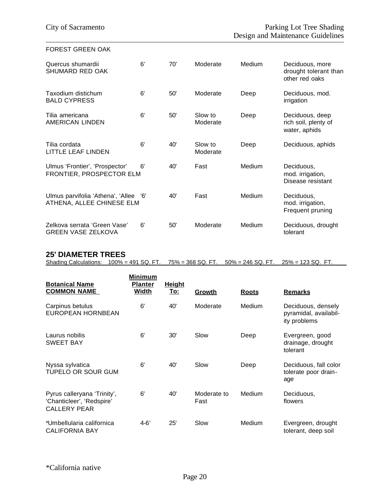#### FOREST GREEN OAK

| Quercus shumardii<br><b>SHUMARD RED OAK</b>                        | 6' | 70' | Moderate            | Medium | Deciduous, more<br>drought tolerant than<br>other red oaks |
|--------------------------------------------------------------------|----|-----|---------------------|--------|------------------------------------------------------------|
| Taxodium distichum<br><b>BALD CYPRESS</b>                          | 6' | 50' | Moderate            | Deep   | Deciduous, mod.<br>irrigation                              |
| Tilia americana<br><b>AMERICAN LINDEN</b>                          | 6' | 50' | Slow to<br>Moderate | Deep   | Deciduous, deep<br>rich soil, plenty of<br>water, aphids   |
| Tilia cordata<br><b>LITTLE LEAF LINDEN</b>                         | 6' | 40' | Slow to<br>Moderate | Deep   | Deciduous, aphids                                          |
| Ulmus 'Frontier', 'Prospector'<br>FRONTIER, PROSPECTOR ELM         | 6' | 40' | Fast                | Medium | Deciduous,<br>mod. irrigation,<br>Disease resistant        |
| Ulmus parvifolia 'Athena', 'Allee '6'<br>ATHENA, ALLEE CHINESE ELM |    | 40' | Fast                | Medium | Deciduous,<br>mod. irrigation,<br>Frequent pruning         |
| Zelkova serrata 'Green Vase'<br><b>GREEN VASE ZELKOVA</b>          | 6' | 50' | Moderate            | Medium | Deciduous, drought<br>tolerant                             |

#### **25' DIAMETER TREES**

Shading Calculations: 100% = 491 SQ. FT. 75% = 368 SQ. FT. 50% = 246 SQ. FT. 25% = 123 SQ. FT.

| <b>Botanical Name</b><br><b>COMMON NAME</b>                                     | <b>Minimum</b><br><b>Planter</b><br>Width | <b>Height</b><br><u>To:</u> | Growth              | <b>Roots</b>  | <b>Remarks</b>                                              |
|---------------------------------------------------------------------------------|-------------------------------------------|-----------------------------|---------------------|---------------|-------------------------------------------------------------|
| Carpinus betulus<br>EUROPEAN HORNBEAN                                           | 6'                                        | 40'                         | Moderate            | <b>Medium</b> | Deciduous, densely<br>pyramidal, availabil-<br>ity problems |
| Laurus nobilis<br><b>SWEET BAY</b>                                              | 6'                                        | 30'                         | Slow                | Deep          | Evergreen, good<br>drainage, drought<br>tolerant            |
| Nyssa sylvatica<br>TUPELO OR SOUR GUM                                           | 6'                                        | 40'                         | Slow                | Deep          | Deciduous, fall color<br>tolerate poor drain-<br>age        |
| Pyrus calleryana 'Trinity',<br>'Chanticleer', 'Redspire'<br><b>CALLERY PEAR</b> | 6'                                        | 40'                         | Moderate to<br>Fast | Medium        | Deciduous,<br>flowers                                       |
| *Umbellularia californica<br><b>CALIFORNIA BAY</b>                              | $4 - 6'$                                  | 25'                         | Slow                | Medium        | Evergreen, drought<br>tolerant, deep soil                   |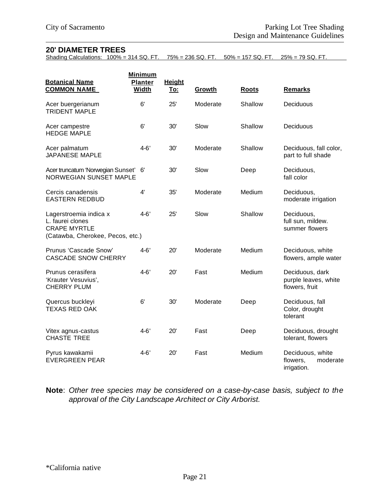#### **20' DIAMETER TREES**

Shading Calculations: 100% = 314 SQ. FT. 75% = 236 SQ. FT. 50% = 157 SQ. FT. 25% = 79 SQ. FT.

| <b>Botanical Name</b><br><b>COMMON NAME</b>                                                           | <b>Minimum</b><br><b>Planter</b><br><b>Width</b> | <b>Height</b><br><u>To:</u> | Growth   | <b>Roots</b> | <b>Remarks</b>                                            |
|-------------------------------------------------------------------------------------------------------|--------------------------------------------------|-----------------------------|----------|--------------|-----------------------------------------------------------|
| Acer buergerianum<br><b>TRIDENT MAPLE</b>                                                             | 6'                                               | 25'                         | Moderate | Shallow      | Deciduous                                                 |
| Acer campestre<br><b>HEDGE MAPLE</b>                                                                  | 6'                                               | 30'                         | Slow     | Shallow      | Deciduous                                                 |
| Acer palmatum<br><b>JAPANESE MAPLE</b>                                                                | $4 - 6'$                                         | 30'                         | Moderate | Shallow      | Deciduous, fall color,<br>part to full shade              |
| Acer truncatum 'Norwegian Sunset'<br><b>NORWEGIAN SUNSET MAPLE</b>                                    | 6'                                               | 30'                         | Slow     | Deep         | Deciduous,<br>fall color                                  |
| Cercis canadensis<br><b>EASTERN REDBUD</b>                                                            | 4'                                               | 35'                         | Moderate | Medium       | Deciduous,<br>moderate irrigation                         |
| Lagerstroemia indica x<br>L. faurei clones<br><b>CRAPE MYRTLE</b><br>(Catawba, Cherokee, Pecos, etc.) | $4 - 6'$                                         | 25'                         | Slow     | Shallow      | Deciduous,<br>full sun, mildew.<br>summer flowers         |
| Prunus 'Cascade Snow'<br><b>CASCADE SNOW CHERRY</b>                                                   | $4 - 6'$                                         | 20'                         | Moderate | Medium       | Deciduous, white<br>flowers, ample water                  |
| Prunus cerasifera<br>'Krauter Vesuvius',<br><b>CHERRY PLUM</b>                                        | $4 - 6'$                                         | 20'                         | Fast     | Medium       | Deciduous, dark<br>purple leaves, white<br>flowers, fruit |
| Quercus buckleyi<br><b>TEXAS RED OAK</b>                                                              | 6'                                               | 30'                         | Moderate | Deep         | Deciduous, fall<br>Color, drought<br>tolerant             |
| Vitex agnus-castus<br><b>CHASTE TREE</b>                                                              | $4 - 6'$                                         | 20'                         | Fast     | Deep         | Deciduous, drought<br>tolerant, flowers                   |
| Pyrus kawakamii<br><b>EVERGREEN PEAR</b>                                                              | $4 - 6'$                                         | 20'                         | Fast     | Medium       | Deciduous, white<br>flowers,<br>moderate<br>irrigation.   |

**Note**: *Other tree species may be considered on a case-by-case basis, subject to the approval of the City Landscape Architect or City Arborist.*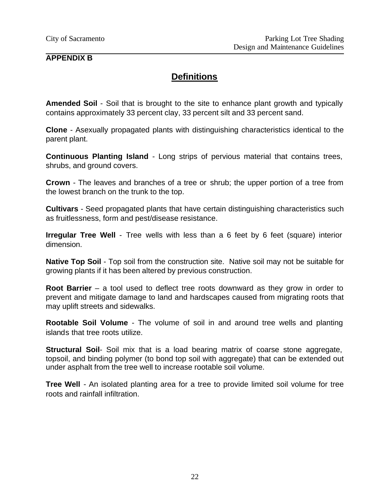# **APPENDIX B**

# **Definitions**

**Amended Soil** - Soil that is brought to the site to enhance plant growth and typically contains approximately 33 percent clay, 33 percent silt and 33 percent sand.

**Clone** - Asexually propagated plants with distinguishing characteristics identical to the parent plant.

**Continuous Planting Island** - Long strips of pervious material that contains trees, shrubs, and ground covers.

**Crown** - The leaves and branches of a tree or shrub; the upper portion of a tree from the lowest branch on the trunk to the top.

**Cultivars** - Seed propagated plants that have certain distinguishing characteristics such as fruitlessness, form and pest/disease resistance.

**Irregular Tree Well** - Tree wells with less than a 6 feet by 6 feet (square) interior dimension.

**Native Top Soil** - Top soil from the construction site. Native soil may not be suitable for growing plants if it has been altered by previous construction.

**Root Barrier** – a tool used to deflect tree roots downward as they grow in order to prevent and mitigate damage to land and hardscapes caused from migrating roots that may uplift streets and sidewalks.

**Rootable Soil Volume** - The volume of soil in and around tree wells and planting islands that tree roots utilize.

**Structural Soil**- Soil mix that is a load bearing matrix of coarse stone aggregate, topsoil, and binding polymer (to bond top soil with aggregate) that can be extended out under asphalt from the tree well to increase rootable soil volume.

**Tree Well** - An isolated planting area for a tree to provide limited soil volume for tree roots and rainfall infiltration.